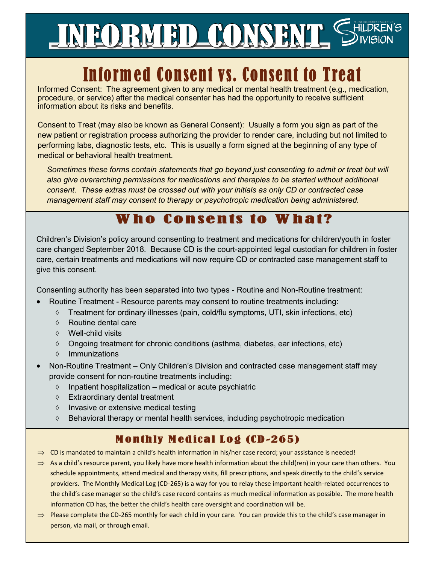# INFORMED CONSENT SHILDREN'S

# **Informed Consent vs. Consent to Treat**

Informed Consent: The agreement given to any medical or mental health treatment (e.g., medication, procedure, or service) after the medical consenter has had the opportunity to receive sufficient information about its risks and benefits.

Consent to Treat (may also be known as General Consent): Usually a form you sign as part of the new patient or registration process authorizing the provider to render care, including but not limited to performing labs, diagnostic tests, etc. This is usually a form signed at the beginning of any type of medical or behavioral health treatment.

*Sometimes these forms contain statements that go beyond just consenting to admit or treat but will also give overarching permissions for medications and therapies to be started without additional consent. These extras must be crossed out with your initials as only CD or contracted case management staff may consent to therapy or psychotropic medication being administered.* 

## Who Consents to Wh

Children's Division's policy around consenting to treatment and medications for children/youth in foster care changed September 2018. Because CD is the court-appointed legal custodian for children in foster care, certain treatments and medications will now require CD or contracted case management staff to give this consent.

Consenting authority has been separated into two types - Routine and Non-Routine treatment:

- Routine Treatment Resource parents may consent to routine treatments including:
	- $\Diamond$  Treatment for ordinary illnesses (pain, cold/flu symptoms, UTI, skin infections, etc)
	- Routine dental care
	- Well-child visits
	- $\lozenge$  Ongoing treatment for chronic conditions (asthma, diabetes, ear infections, etc)
	- $\Diamond$  Immunizations
- Non-Routine Treatment Only Children's Division and contracted case management staff may provide consent for non-routine treatments including:
	- $\Diamond$  Inpatient hospitalization medical or acute psychiatric
	- Extraordinary dental treatment
	- $\Diamond$  Invasive or extensive medical testing
	- $\Diamond$  Behavioral therapy or mental health services, including psychotropic medication

#### **Monthly Medical Log (CD-265)**

- $\Rightarrow$  CD is mandated to maintain a child's health information in his/her case record; your assistance is needed!
- $\Rightarrow$  As a child's resource parent, you likely have more health information about the child(ren) in your care than others. You schedule appointments, attend medical and therapy visits, fill prescriptions, and speak directly to the child's service providers. The Monthly Medical Log (CD-265) is a way for you to relay these important health-related occurrences to the child's case manager so the child's case record contains as much medical information as possible. The more health information CD has, the better the child's health care oversight and coordination will be.
- $\Rightarrow$  Please complete the CD-265 monthly for each child in your care. You can provide this to the child's case manager in person, via mail, or through email.